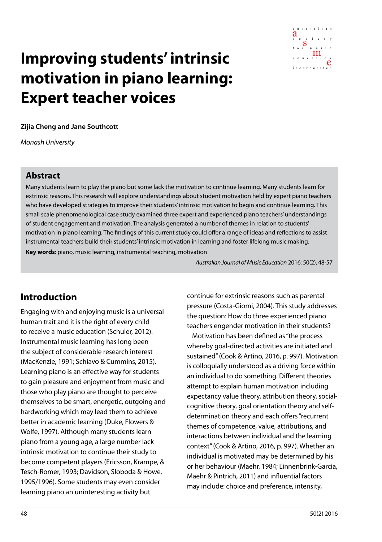

# **Improving students' intrinsic motivation in piano learning: Expert teacher voices**

**Zijia Cheng and Jane Southcott**

*Monash University*

#### **Abstract**

Many students learn to play the piano but some lack the motivation to continue learning. Many students learn for extrinsic reasons. This research will explore understandings about student motivation held by expert piano teachers who have developed strategies to improve their students' intrinsic motivation to begin and continue learning. This small scale phenomenological case study examined three expert and experienced piano teachers' understandings of student engagement and motivation. The analysis generated a number of themes in relation to students' motivation in piano learning. The findings of this current study could offer a range of ideas and reflections to assist instrumental teachers build their students' intrinsic motivation in learning and foster lifelong music making. **Key words**: piano, music learning, instrumental teaching, motivation

*Australian Journal of Music Education* 2016: 50(2), 48-57

### **Introduction**

Engaging with and enjoying music is a universal human trait and it is the right of every child to receive a music education (Schuler, 2012). Instrumental music learning has long been the subject of considerable research interest (MacKenzie, 1991; Schiavo & Cummins, 2015). Learning piano is an effective way for students to gain pleasure and enjoyment from music and those who play piano are thought to perceive themselves to be smart, energetic, outgoing and hardworking which may lead them to achieve better in academic learning (Duke, Flowers & Wolfe, 1997). Although many students learn piano from a young age, a large number lack intrinsic motivation to continue their study to become competent players (Ericsson, Krampe, & Tesch-Romer, 1993; Davidson, Sloboda & Howe, 1995/1996). Some students may even consider learning piano an uninteresting activity but

continue for extrinsic reasons such as parental pressure (Costa-Giomi, 2004). This study addresses the question: How do three experienced piano teachers engender motivation in their students?

Motivation has been defined as "the process whereby goal-directed activities are initiated and sustained" (Cook & Artino, 2016, p. 997). Motivation is colloquially understood as a driving force within an individual to do something. Different theories attempt to explain human motivation including expectancy value theory, attribution theory, socialcognitive theory, goal orientation theory and selfdetermination theory and each offers "recurrent themes of competence, value, attributions, and interactions between individual and the learning context" (Cook & Artino, 2016, p. 997). Whether an individual is motivated may be determined by his or her behaviour (Maehr, 1984; Linnenbrink-Garcia, Maehr & Pintrich, 2011) and influential factors may include: choice and preference, intensity,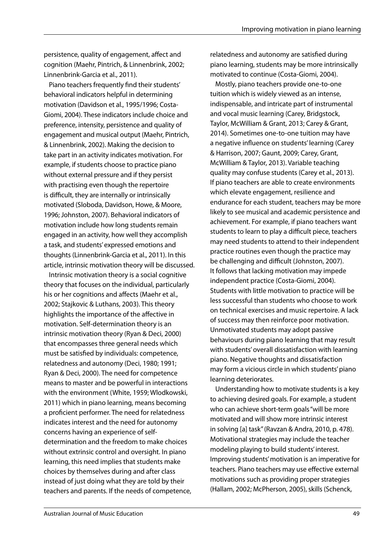persistence, quality of engagement, affect and cognition (Maehr, Pintrich, & Linnenbrink, 2002; Linnenbrink-Garcia et al., 2011).

Piano teachers frequently find their students' behavioral indicators helpful in determining motivation (Davidson et al., 1995/1996; Costa-Giomi, 2004). These indicators include choice and preference, intensity, persistence and quality of engagement and musical output (Maehr, Pintrich, & Linnenbrink, 2002). Making the decision to take part in an activity indicates motivation. For example, if students choose to practice piano without external pressure and if they persist with practising even though the repertoire is difficult, they are internally or intrinsically motivated (Sloboda, Davidson, Howe, & Moore, 1996; Johnston, 2007). Behavioral indicators of motivation include how long students remain engaged in an activity, how well they accomplish a task, and students' expressed emotions and thoughts (Linnenbrink-Garcia et al., 2011). In this article, intrinsic motivation theory will be discussed.

Intrinsic motivation theory is a social cognitive theory that focuses on the individual, particularly his or her cognitions and affects (Maehr et al., 2002; Stajkovic & Luthans, 2003). This theory highlights the importance of the affective in motivation. Self-determination theory is an intrinsic motivation theory (Ryan & Deci, 2000) that encompasses three general needs which must be satisfied by individuals: competence, relatedness and autonomy (Deci, 1980; 1991; Ryan & Deci, 2000). The need for competence means to master and be powerful in interactions with the environment (White, 1959; Wlodkowski, 2011) which in piano learning, means becoming a proficient performer. The need for relatedness indicates interest and the need for autonomy concerns having an experience of selfdetermination and the freedom to make choices without extrinsic control and oversight. In piano learning, this need implies that students make choices by themselves during and after class instead of just doing what they are told by their teachers and parents. If the needs of competence, relatedness and autonomy are satisfied during piano learning, students may be more intrinsically motivated to continue (Costa-Giomi, 2004).

Mostly, piano teachers provide one-to-one tuition which is widely viewed as an intense, indispensable, and intricate part of instrumental and vocal music learning (Carey, Bridgstock, Taylor, McWilliam & Grant, 2013; Carey & Grant, 2014). Sometimes one-to-one tuition may have a negative influence on students' learning (Carey & Harrison, 2007; Gaunt, 2009; Carey, Grant, McWilliam & Taylor, 2013). Variable teaching quality may confuse students (Carey et al., 2013). If piano teachers are able to create environments which elevate engagement, resilience and endurance for each student, teachers may be more likely to see musical and academic persistence and achievement. For example, if piano teachers want students to learn to play a difficult piece, teachers may need students to attend to their independent practice routines even though the practice may be challenging and difficult (Johnston, 2007). It follows that lacking motivation may impede independent practice (Costa-Giomi, 2004). Students with little motivation to practice will be less successful than students who choose to work on technical exercises and music repertoire. A lack of success may then reinforce poor motivation. Unmotivated students may adopt passive behaviours during piano learning that may result with students' overall dissatisfaction with learning piano. Negative thoughts and dissatisfaction may form a vicious circle in which students' piano learning deteriorates.

Understanding how to motivate students is a key to achieving desired goals. For example, a student who can achieve short-term goals "will be more motivated and will show more intrinsic interest in solving [a] task" (Ravzan & Andra, 2010, p. 478). Motivational strategies may include the teacher modeling playing to build students' interest. Improving students' motivation is an imperative for teachers. Piano teachers may use effective external motivations such as providing proper strategies (Hallam, 2002; McPherson, 2005), skills (Schenck,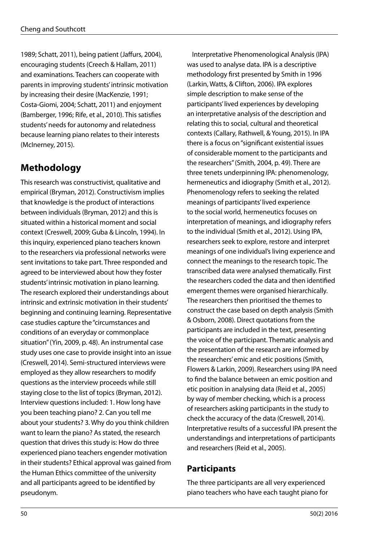1989; Schatt, 2011), being patient (Jaffurs, 2004), encouraging students (Creech & Hallam, 2011) and examinations. Teachers can cooperate with parents in improving students' intrinsic motivation by increasing their desire (MacKenzie, 1991; Costa-Giomi, 2004; Schatt, 2011) and enjoyment (Bamberger, 1996; Rife, et al., 2010). This satisfies students' needs for autonomy and relatedness because learning piano relates to their interests (McInerney, 2015).

## **Methodology**

This research was constructivist, qualitative and empirical (Bryman, 2012). Constructivism implies that knowledge is the product of interactions between individuals (Bryman, 2012) and this is situated within a historical moment and social context (Creswell, 2009; Guba & Lincoln, 1994). In this inquiry, experienced piano teachers known to the researchers via professional networks were sent invitations to take part. Three responded and agreed to be interviewed about how they foster students' intrinsic motivation in piano learning. The research explored their understandings about intrinsic and extrinsic motivation in their students' beginning and continuing learning. Representative case studies capture the "circumstances and conditions of an everyday or commonplace situation" (Yin, 2009, p. 48). An instrumental case study uses one case to provide insight into an issue (Creswell, 2014). Semi-structured interviews were employed as they allow researchers to modify questions as the interview proceeds while still staying close to the list of topics (Bryman, 2012). Interview questions included: 1. How long have you been teaching piano? 2. Can you tell me about your students? 3. Why do you think children want to learn the piano? As stated, the research question that drives this study is: How do three experienced piano teachers engender motivation in their students? Ethical approval was gained from the Human Ethics committee of the university and all participants agreed to be identified by pseudonym.

Interpretative Phenomenological Analysis (IPA) was used to analyse data. IPA is a descriptive methodology first presented by Smith in 1996 (Larkin, Watts, & Clifton, 2006). IPA explores simple description to make sense of the participants' lived experiences by developing an interpretative analysis of the description and relating this to social, cultural and theoretical contexts (Callary, Rathwell, & Young, 2015). In IPA there is a focus on "significant existential issues of considerable moment to the participants and the researchers" (Smith, 2004, p. 49). There are three tenets underpinning IPA: phenomenology, hermeneutics and idiography (Smith et al., 2012). Phenomenology refers to seeking the related meanings of participants' lived experience to the social world, hermeneutics focuses on interpretation of meanings, and idiography refers to the individual (Smith et al., 2012). Using IPA, researchers seek to explore, restore and interpret meanings of one individual's living experience and connect the meanings to the research topic. The transcribed data were analysed thematically. First the researchers coded the data and then identified emergent themes were organised hierarchically. The researchers then prioritised the themes to construct the case based on depth analysis (Smith & Osborn, 2008). Direct quotations from the participants are included in the text, presenting the voice of the participant. Thematic analysis and the presentation of the research are informed by the researchers' emic and etic positions (Smith, Flowers & Larkin, 2009). Researchers using IPA need to find the balance between an emic position and etic position in analysing data (Reid et al., 2005) by way of member checking, which is a process of researchers asking participants in the study to check the accuracy of the data (Creswell, 2014). Interpretative results of a successful IPA present the understandings and interpretations of participants and researchers (Reid et al., 2005).

### **Participants**

The three participants are all very experienced piano teachers who have each taught piano for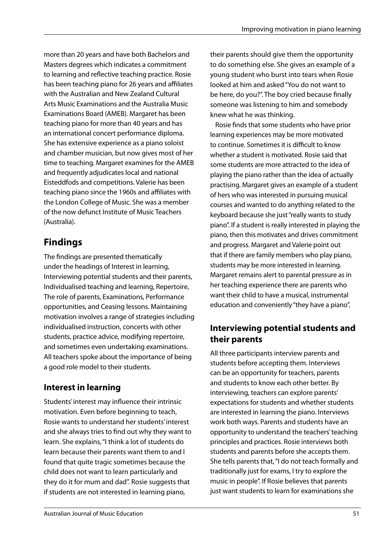more than 20 years and have both Bachelors and Masters degrees which indicates a commitment to learning and reflective teaching practice. Rosie has been teaching piano for 26 years and affiliates with the Australian and New Zealand Cultural Arts Music Examinations and the Australia Music Examinations Board (AMEB). Margaret has been teaching piano for more than 40 years and has an international concert performance diploma. She has extensive experience as a piano soloist and chamber musician, but now gives most of her time to teaching. Margaret examines for the AMEB and frequently adjudicates local and national Eisteddfods and competitions. Valerie has been teaching piano since the 1960s and affiliates with the London College of Music. She was a member of the now defunct Institute of Music Teachers (Australia).

## **Findings**

The findings are presented thematically under the headings of Interest in learning, Interviewing potential students and their parents, Individualised teaching and learning, Repertoire, The role of parents, Examinations, Performance opportunities, and Ceasing lessons. Maintaining motivation involves a range of strategies including individualised instruction, concerts with other students, practice advice, modifying repertoire, and sometimes even undertaking examinations. All teachers spoke about the importance of being a good role model to their students.

## **Interest in learning**

Students' interest may influence their intrinsic motivation. Even before beginning to teach, Rosie wants to understand her students' interest and she always tries to find out why they want to learn. She explains, "I think a lot of students do learn because their parents want them to and I found that quite tragic sometimes because the child does not want to learn particularly and they do it for mum and dad". Rosie suggests that if students are not interested in learning piano,

their parents should give them the opportunity to do something else. She gives an example of a young student who burst into tears when Rosie looked at him and asked "You do not want to be here, do you?". The boy cried because finally someone was listening to him and somebody knew what he was thinking.

Rosie finds that some students who have prior learning experiences may be more motivated to continue. Sometimes it is difficult to know whether a student is motivated. Rosie said that some students are more attracted to the idea of playing the piano rather than the idea of actually practising. Margaret gives an example of a student of hers who was interested in pursuing musical courses and wanted to do anything related to the keyboard because she just "really wants to study piano". If a student is really interested in playing the piano, then this motivates and drives commitment and progress. Margaret and Valerie point out that if there are family members who play piano, students may be more interested in learning. Margaret remains alert to parental pressure as in her teaching experience there are parents who want their child to have a musical, instrumental education and conveniently "they have a piano".

## **Interviewing potential students and their parents**

All three participants interview parents and students before accepting them. Interviews can be an opportunity for teachers, parents and students to know each other better. By interviewing, teachers can explore parents' expectations for students and whether students are interested in learning the piano. Interviews work both ways. Parents and students have an opportunity to understand the teachers' teaching principles and practices. Rosie interviews both students and parents before she accepts them. She tells parents that, "I do not teach formally and traditionally just for exams, I try to explore the music in people". If Rosie believes that parents just want students to learn for examinations she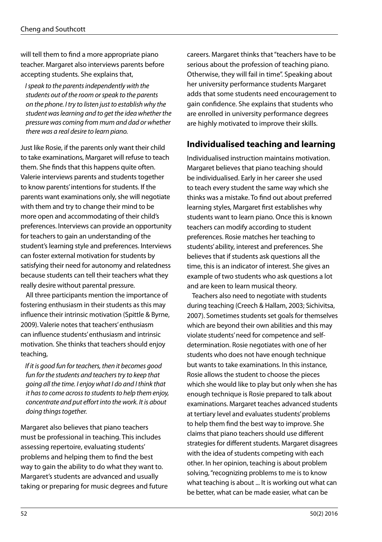will tell them to find a more appropriate piano teacher. Margaret also interviews parents before accepting students. She explains that,

*I speak to the parents independently with the students out of the room or speak to the parents on the phone. I try to listen just to establish why the student was learning and to get the idea whether the pressure was coming from mum and dad or whether there was a real desire to learn piano.*

Just like Rosie, if the parents only want their child to take examinations, Margaret will refuse to teach them. She finds that this happens quite often. Valerie interviews parents and students together to know parents' intentions for students. If the parents want examinations only, she will negotiate with them and try to change their mind to be more open and accommodating of their child's preferences. Interviews can provide an opportunity for teachers to gain an understanding of the student's learning style and preferences. Interviews can foster external motivation for students by satisfying their need for autonomy and relatedness because students can tell their teachers what they really desire without parental pressure.

All three participants mention the importance of fostering enthusiasm in their students as this may influence their intrinsic motivation (Spittle & Byrne, 2009). Valerie notes that teachers' enthusiasm can influence students' enthusiasm and intrinsic motivation. She thinks that teachers should enjoy teaching,

*If it is good fun for teachers, then it becomes good fun for the students and teachers try to keep that going all the time. I enjoy what I do and I think that it has to come across to students to help them enjoy, concentrate and put effort into the work. It is about doing things together.*

Margaret also believes that piano teachers must be professional in teaching. This includes assessing repertoire, evaluating students' problems and helping them to find the best way to gain the ability to do what they want to. Margaret's students are advanced and usually taking or preparing for music degrees and future careers. Margaret thinks that "teachers have to be serious about the profession of teaching piano. Otherwise, they will fail in time". Speaking about her university performance students Margaret adds that some students need encouragement to gain confidence. She explains that students who are enrolled in university performance degrees are highly motivated to improve their skills.

#### **Individualised teaching and learning**

Individualised instruction maintains motivation. Margaret believes that piano teaching should be individualised. Early in her career she used to teach every student the same way which she thinks was a mistake. To find out about preferred learning styles, Margaret first establishes why students want to learn piano. Once this is known teachers can modify according to student preferences. Rosie matches her teaching to students' ability, interest and preferences. She believes that if students ask questions all the time, this is an indicator of interest. She gives an example of two students who ask questions a lot and are keen to learn musical theory.

Teachers also need to negotiate with students during teaching (Creech & Hallam, 2003; Sichivitsa, 2007). Sometimes students set goals for themselves which are beyond their own abilities and this may violate students' need for competence and selfdetermination. Rosie negotiates with one of her students who does not have enough technique but wants to take examinations. In this instance, Rosie allows the student to choose the pieces which she would like to play but only when she has enough technique is Rosie prepared to talk about examinations. Margaret teaches advanced students at tertiary level and evaluates students' problems to help them find the best way to improve. She claims that piano teachers should use different strategies for different students. Margaret disagrees with the idea of students competing with each other. In her opinion, teaching is about problem solving, "recognizing problems to me is to know what teaching is about ... It is working out what can be better, what can be made easier, what can be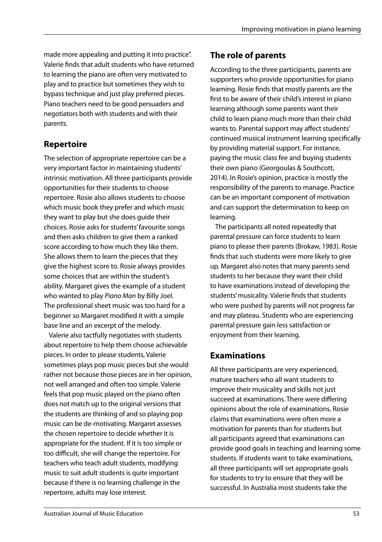made more appealing and putting it into practice". Valerie finds that adult students who have returned to learning the piano are often very motivated to play and to practice but sometimes they wish to bypass technique and just play preferred pieces. Piano teachers need to be good persuaders and negotiators both with students and with their parents.

### **Repertoire**

The selection of appropriate repertoire can be a very important factor in maintaining students' intrinsic motivation. All three participants provide opportunities for their students to choose repertoire. Rosie also allows students to choose which music book they prefer and which music they want to play but she does guide their choices. Rosie asks for students' favourite songs and then asks children to give them a ranked score according to how much they like them. She allows them to learn the pieces that they give the highest score to. Rosie always provides some choices that are within the student's ability. Margaret gives the example of a student who wanted to play *Piano Man* by Billy Joel. The professional sheet music was too hard for a beginner so Margaret modified it with a simple base line and an excerpt of the melody.

Valerie also tactfully negotiates with students about repertoire to help them choose achievable pieces. In order to please students, Valerie sometimes plays pop music pieces but she would rather not because those pieces are in her opinion, not well arranged and often too simple. Valerie feels that pop music played on the piano often does not match up to the original versions that the students are thinking of and so playing pop music can be de-motivating. Margaret assesses the chosen repertoire to decide whether it is appropriate for the student. If it is too simple or too difficult, she will change the repertoire. For teachers who teach adult students, modifying music to suit adult students is quite important because if there is no learning challenge in the repertoire, adults may lose interest.

## **The role of parents**

According to the three participants, parents are supporters who provide opportunities for piano learning. Rosie finds that mostly parents are the first to be aware of their child's interest in piano learning although some parents want their child to learn piano much more than their child wants to. Parental support may affect students' continued musical instrument learning specifically by providing material support. For instance, paying the music class fee and buying students their own piano (Georgoulas & Southcott, 2014). In Rosie's opinion, practice is mostly the responsibility of the parents to manage. Practice can be an important component of motivation and can support the determination to keep on learning.

The participants all noted repeatedly that parental pressure can force students to learn piano to please their parents (Brokaw, 1983). Rosie finds that such students were more likely to give up. Margaret also notes that many parents send students to her because they want their child to have examinations instead of developing the students' musicality. Valerie finds that students who were pushed by parents will not progress far and may plateau. Students who are experiencing parental pressure gain less satisfaction or enjoyment from their learning.

## **Examinations**

All three participants are very experienced, mature teachers who all want students to improve their musicality and skills not just succeed at examinations. There were differing opinions about the role of examinations. Rosie claims that examinations were often more a motivation for parents than for students but all participants agreed that examinations can provide good goals in teaching and learning some students. If students want to take examinations, all three participants will set appropriate goals for students to try to ensure that they will be successful. In Australia most students take the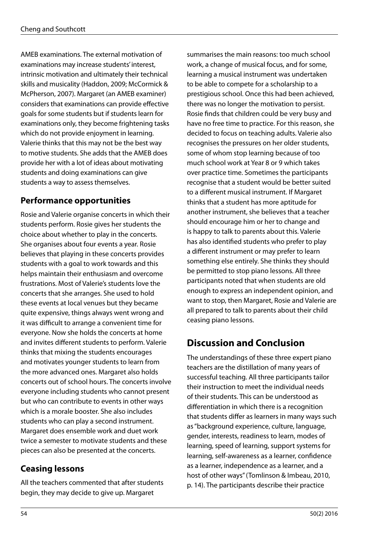AMEB examinations. The external motivation of examinations may increase students' interest, intrinsic motivation and ultimately their technical skills and musicality (Haddon, 2009; McCormick & McPherson, 2007). Margaret (an AMEB examiner) considers that examinations can provide effective goals for some students but if students learn for examinations only, they become frightening tasks which do not provide enjoyment in learning. Valerie thinks that this may not be the best way to motive students. She adds that the AMEB does provide her with a lot of ideas about motivating students and doing examinations can give students a way to assess themselves.

#### **Performance opportunities**

Rosie and Valerie organise concerts in which their students perform. Rosie gives her students the choice about whether to play in the concerts. She organises about four events a year. Rosie believes that playing in these concerts provides students with a goal to work towards and this helps maintain their enthusiasm and overcome frustrations. Most of Valerie's students love the concerts that she arranges. She used to hold these events at local venues but they became quite expensive, things always went wrong and it was difficult to arrange a convenient time for everyone. Now she holds the concerts at home and invites different students to perform. Valerie thinks that mixing the students encourages and motivates younger students to learn from the more advanced ones. Margaret also holds concerts out of school hours. The concerts involve everyone including students who cannot present but who can contribute to events in other ways which is a morale booster. She also includes students who can play a second instrument. Margaret does ensemble work and duet work twice a semester to motivate students and these pieces can also be presented at the concerts.

### **Ceasing lessons**

All the teachers commented that after students begin, they may decide to give up. Margaret

summarises the main reasons: too much school work, a change of musical focus, and for some, learning a musical instrument was undertaken to be able to compete for a scholarship to a prestigious school. Once this had been achieved, there was no longer the motivation to persist. Rosie finds that children could be very busy and have no free time to practice. For this reason, she decided to focus on teaching adults. Valerie also recognises the pressures on her older students, some of whom stop learning because of too much school work at Year 8 or 9 which takes over practice time. Sometimes the participants recognise that a student would be better suited to a different musical instrument. If Margaret thinks that a student has more aptitude for another instrument, she believes that a teacher should encourage him or her to change and is happy to talk to parents about this. Valerie has also identified students who prefer to play a different instrument or may prefer to learn something else entirely. She thinks they should be permitted to stop piano lessons. All three participants noted that when students are old enough to express an independent opinion, and want to stop, then Margaret, Rosie and Valerie are all prepared to talk to parents about their child ceasing piano lessons.

## **Discussion and Conclusion**

The understandings of these three expert piano teachers are the distillation of many years of successful teaching. All three participants tailor their instruction to meet the individual needs of their students. This can be understood as differentiation in which there is a recognition that students differ as learners in many ways such as "background experience, culture, language, gender, interests, readiness to learn, modes of learning, speed of learning, support systems for learning, self-awareness as a learner, confidence as a learner, independence as a learner, and a host of other ways" (Tomlinson & Imbeau, 2010, p. 14). The participants describe their practice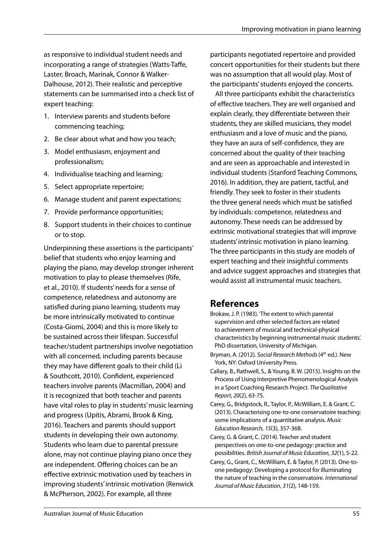as responsive to individual student needs and incorporating a range of strategies (Watts-Taffe, Laster, Broach, Marinak, Connor & Walker-Dalhouse, 2012). Their realistic and perceptive statements can be summarised into a check list of expert teaching:

- 1. Interview parents and students before commencing teaching;
- 2. Be clear about what and how you teach;
- 3. Model enthusiasm, enjoyment and professionalism;
- 4. Individualise teaching and learning;
- 5. Select appropriate repertoire;
- 6. Manage student and parent expectations;
- 7. Provide performance opportunities;
- 8. Support students in their choices to continue or to stop.

Underpinning these assertions is the participants' belief that students who enjoy learning and playing the piano, may develop stronger inherent motivation to play to please themselves (Rife, et al., 2010). If students' needs for a sense of competence, relatedness and autonomy are satisfied during piano learning, students may be more intrinsically motivated to continue (Costa-Giomi, 2004) and this is more likely to be sustained across their lifespan. Successful teacher/student partnerships involve negotiation with all concerned, including parents because they may have different goals to their child (Li & Southcott, 2010). Confident, experienced teachers involve parents (Macmillan, 2004) and it is recognized that both teacher and parents have vital roles to play in students' music learning and progress (Upitis, Abrami, Brook & King, 2016). Teachers and parents should support students in developing their own autonomy. Students who learn due to parental pressure alone, may not continue playing piano once they are independent. Offering choices can be an effective extrinsic motivation used by teachers in improving students' intrinsic motivation (Renwick & McPherson, 2002). For example, all three

participants negotiated repertoire and provided concert opportunities for their students but there was no assumption that all would play. Most of the participants' students enjoyed the concerts.

All three participants exhibit the characteristics of effective teachers. They are well organised and explain clearly, they differentiate between their students, they are skilled musicians, they model enthusiasm and a love of music and the piano, they have an aura of self-confidence, they are concerned about the quality of their teaching and are seen as approachable and interested in individual students (Stanford Teaching Commons, 2016). In addition, they are patient, tactful, and friendly. They seek to foster in their students the three general needs which must be satisfied by individuals: competence, relatedness and autonomy. These needs can be addressed by extrinsic motivational strategies that will improve students' intrinsic motivation in piano learning. The three participants in this study are models of expert teaching and their insightful comments and advice suggest approaches and strategies that would assist all instrumental music teachers.

## **References**

- Brokaw, J. P. (1983). 'The extent to which parental supervision and other selected factors are related to achievement of musical and technical-physical characteristics by beginning instrumental music students'. PhD dissertation, University of Michigan.
- Bryman, A. (2012). *Social Research Methods* (4<sup>th</sup> ed.). New York, NY: Oxford University Press.
- Callary, B., Rathwell, S., & Young, B. W. (2015). Insights on the Process of Using Interpretive Phenomenological Analysis in a Sport Coaching Research Project. *The Qualitative Report, 20*(2), 63-75.
- Carey, G., Bridgstock, R., Taylor, P., McWilliam, E. & Grant, C. (2013). Characterising one-to-one conservatoire teaching: some implications of a quantitative analysis. *Music Education Research, 15*(3), 357-368.
- Carey, G. & Grant, C. (2014). Teacher and student perspectives on one-to-one pedagogy: practice and possibilities. *British Journal of Music Education, 32*(1), 5-22.
- Carey, G., Grant, C., McWilliam, E. & Taylor, P. (2013). One-toone pedagogy: Developing a protocol for illuminating the nature of teaching in the conservatoire. *International Journal of Music Education, 31*(2), 148-159.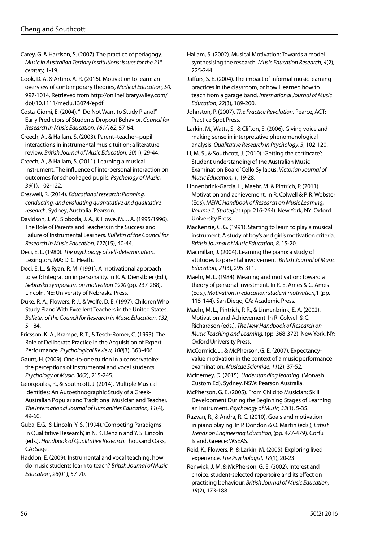Carey, G. & Harrison, S. (2007). The practice of pedagogy. *Music in Australian Tertiary Institutions: Issues for the 21st century,* 1-19.

Cook, D. A. & Artino, A. R. (2016). Motivation to learn: an overview of contemporary theories, *Medical Education, 50,*  997-1014. Retrieved from http://onlinelibrary.wiley.com/ doi/10.1111/medu.13074/epdf

Costa-Giomi, E. (2004). "I Do Not Want to Study Piano!" Early Predictors of Students Dropout Behavior. *Council for Research in Music Education, 161/162*, 57-64.

Creech, A., & Hallam, S. (2003). Parent–teacher–pupil interactions in instrumental music tuition: a literature review. *British Journal of Music Education*, *20*(1), 29-44.

Creech, A., & Hallam, S. (2011). Learning a musical instrument: The influence of interpersonal interaction on outcomes for school-aged pupils. *Psychology of Music*, *39*(1), 102-122.

Creswell, R. (2014). *Educational research: Planning, conducting, and evaluating quantitative and qualitative research*. Sydney, Australia: Pearson.

Davidson, J. W., Sloboda, J. A., & Howe, M. J. A. (1995/1996). The Role of Parents and Teachers in the Success and Failure of Instrumental Learners. *Bulletin of the Council for Research in Music Education, 127*(15), 40-44.

Deci, E. L. (1980). *The psychology of self-determination.* Lexington, MA: D. C. Heath.

Deci, E. L., & Ryan, R. M. (1991). A motivational approach to self: Integration in personality. In R. A. Dienstbier (Ed.), *Nebraska symposium on motivation 1990* (pp. 237-288). Lincoln, NE: University of Nebraska Press.

Duke, R. A., Flowers, P. J., & Wolfe, D. E. (1997). Children Who Study Piano With Excellent Teachers in the United States. *Bulletin of the Council for Research in Music Education*, *132*, 51-84.

Ericsson, K. A., Krampe, R. T., & Tesch-Romer, C. (1993). The Role of Deliberate Practice in the Acquisition of Expert Performance. *Psychological Review, 100*(3), 363-406.

Gaunt, H. (2009). One-to-one tuition in a conservatoire: the perceptions of instrumental and vocal students. *Psychology of Music, 36*(2), 215-245.

Georgoulas, R., & Southcott, J. (2014). Multiple Musical Identities: An Autoethnographic Study of a Greek-Australian Popular and Traditional Musician and Teacher. *The International Journal of Humanities Education, 11*(4), 49-60.

Guba, E.G., & Lincoln, Y. S. (1994). 'Competing Paradigms in Qualitative Research', in N. K. Denzin and Y. S. Lincoln (eds.), *Handbook of Qualitative Research.*Thousand Oaks, CA: Sage.

Haddon, E. (2009). Instrumental and vocal teaching: how do music students learn to teach? *British Journal of Music Education*, *26*(01), 57-70.

Hallam, S. (2002). Musical Motivation: Towards a model synthesising the research. *Music Education Research*, *4*(2), 225-244.

Jaffurs, S. E. (2004). The impact of informal music learning practices in the classroom, or how I learned how to teach from a garage band. *International Journal of Music Education*, *22*(3), 189-200.

Johnston, P. (2007). *The Practice Revolution*. Pearce, ACT: Practice Spot Press.

Larkin, M., Watts, S., & Clifton, E. (2006). Giving voice and making sense in interpretative phenomenological analysis. *Qualitative Research in Psychology, 3*, 102-120.

Li, M. S., & Southcott, J. (2010). 'Getting the certificate': Student understanding of the Australian Music Examination Board' Cello Syllabus. *Victorian Journal of Music Education, 1*, 19-28.

Linnenbrink-Garcia, L., Maehr, M. & Pintrich, P. (2011). Motivation and achievement. In R. Colwell & P. R. Webster (Eds), *MENC Handbook of Research on Music Learning, Volume 1: Strategies* (pp. 216-264). New York, NY: Oxford University Press.

MacKenzie, C. G. (1991). Starting to learn to play a musical instrument: A study of boy's and girl's motivation criteria. *British Journal of Music Education*, *8*, 15-20.

Macmillan, J. (2004). Learning the piano: a study of attitudes to parental involvement. *British Journal of Music Education, 21*(3), 295-311.

Maehr, M. L. (1984). Meaning and motivation: Toward a theory of personal investment. In R. E. Ames & C. Ames (Eds.), *Motivation in education: student motivation,*1 (pp. 115-144). San Diego, CA: Academic Press.

Maehr, M. L., Pintrich, P. R., & Linnenbrink, E. A. (2002). Motivation and Achievement. In R. Colwell & C. Richardson (eds.), *The New Handbook of Research on Music Teaching and Learning,* (pp. 368-372). New York, NY: Oxford University Press.

McCormick, J., & McPherson, G. E. (2007). Expectancyvalue motivation in the context of a music performance examination. *Musicae Scientiae*, *11*(2), 37-52.

McInerney, D. (2015). *Understanding learning*. (Monash Custom Ed). Sydney, NSW: Pearson Australia.

McPherson, G. E. (2005). From Child to Musician: Skill Development During the Beginning Stages of Learning an Instrument. *Psychology of Music, 33*(1), 5-35.

Razvan, R., & Andra, R. C. (2010). Goals and motivation in piano playing. In P. Dondon & O. Martin (eds.), *Latest Trends on Engineering Education,* (pp. 477-479). Corfu Island, Greece: WSEAS.

Reid, K., Flowers, P., & Larkin, M. (2005). Exploring lived experience. *The Psychologist, 18*(1), 20-23.

Renwick, J. M. & McPherson, G. E. (2002). Interest and choice: student-selected repertoire and its effect on practising behaviour. *British Journal of Music Education, 19*(2), 173-188.